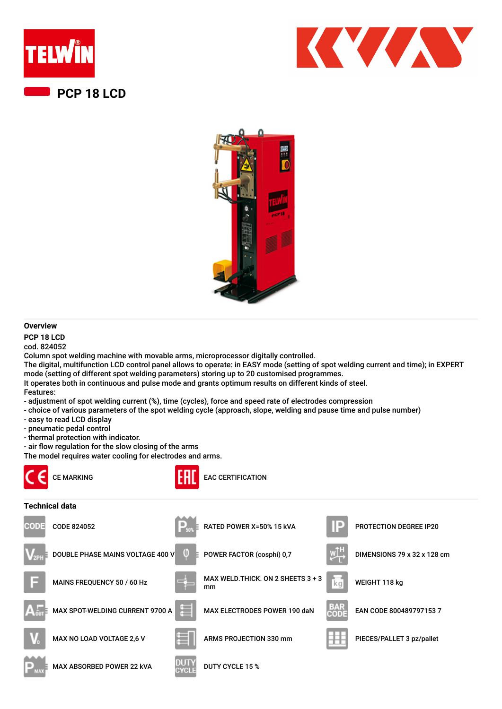





## **Overview**

**PCP 18 LCD** cod. 824052

Column spot welding machine with movable arms, microprocessor digitally controlled.

The digital, multifunction LCD control panel allows to operate: in EASY mode (setting of spot welding current and time); in EXPERT mode (setting of different spot welding parameters) storing up to 20 customised programmes.

It operates both in continuous and pulse mode and grants optimum results on different kinds of steel. Features:

- adjustment of spot welding current (%), time (cycles), force and speed rate of electrodes compression

- choice of various parameters of the spot welding cycle (approach, slope, welding and pause time and pulse number)
- easy to read LCD display
- pneumatic pedal control
- thermal protection with indicator.
- air flow regulation for the slow closing of the arms

The model requires water cooling for electrodes and arms.

MAX ABSORBED POWER 22 KVA DUTY CYCLE 15 %